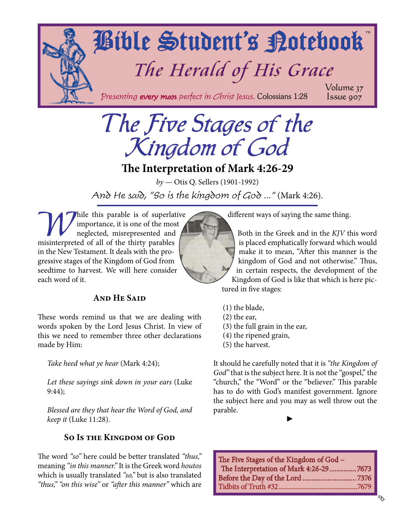<span id="page-0-0"></span>

# The Five Stages of the Kingdom of God

# **The Interpretation of Mark 4:26-29**

*by* — Otis Q. Sellers (1901-1992) And He said, "So is the kingdom of  $G$ od ..." (Mark 4:26).

While this parable is of superlative importance, it is one of the most neglected, misrepresented and misinterpreted of all of the thirty parables importance, it is one of the most neglected, misrepresented and in the New Testament. It deals with the progressive stages of the Kingdom of God from seedtime to harvest. We will here consider each word of it.

### **And He Said**

These words remind us that we are dealing with words spoken by the Lord Jesus Christ. In view of this we need to remember three other declarations made by Him:

*Take heed what ye hear* (Mark 4:24);

*Let these sayings sink down in your ears* (Luke 9:44);

*Blessed are they that hear the Word of God, and keep it* (Luke 11:28).

### **So Is the Kingdom of God**

The word *"so"* here could be better translated *"thus,"* meaning *"in this manner."* It is the Greek word *houtos* which is usually translated *"so,"* but is also translated *"thus," "on this wise"* or *"after this manner"* which are different ways of saying the same thing.

Both in the Greek and in the *KJV* this word is placed emphatically forward which would make it to mean, "After this manner is the kingdom of God and not otherwise." Thus, in certain respects, the development of the Kingdom of God is like that which is here pictured in five stages:

- (1) the blade,
- (2) the ear,
- (3) the full grain in the ear,
- (4) the ripened grain,
- (5) the harvest.

It should he carefully noted that it is *"the Kingdom of God*" that is the subject here. It is not the "gospel," the "church," the "Word" or the "believer." This parable has to do with God's manifest government. Ignore the subject here and you may as well throw out the parable.

[►](#page-1-0)

| The Five Stages of the Kingdom of God - |  |
|-----------------------------------------|--|
| The Interpretation of Mark 4:26-29 7673 |  |
|                                         |  |
|                                         |  |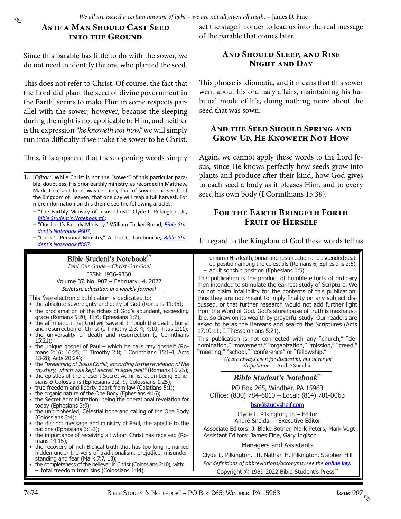#### <span id="page-1-0"></span>**As if a Man Should Cast Seed into the Ground**

Since this parable has little to do with the sower, we do not need to identify the one who planted the seed.

This does not refer to Christ. Of course, the fact that the Lord did plant the seed of divine government in the Earth<sup>1</sup> seems to make Him in some respects parallel with the sower; however, because the sleeping during the night is not applicable to Him, and neither is the expression *"he knoweth not how,"* we will simply run into difficulty if we make the sower to be Christ.

Thus, it is apparent that these opening words simply

*–* "The Earthly Ministry of Jesus Christ," Clyde L. Pilkington, Jr., *[Bible Student's Notebook](http://www.studyshelf.com/art_pilkington_jc-earthly.pdf)* #6;

- *–* "Our Lord's Earthly Ministry," William Tucker Broad, *[Bible Stu](http://www.biblestudentsnotebook.com/bsn607.pdf)[dent's Notebook](http://www.biblestudentsnotebook.com/bsn607.pdf)* #607;
- *–* "Christ's Personal Ministry," Arthur C. Lambourne, *[Bible Stu](http://www.biblestudentsnotebook.com/bsn887.pdf)[dent's Notebook](http://www.biblestudentsnotebook.com/bsn887.pdf)* #887.

Bible Student's Notebook™

Paul Our Guide – Christ Our Goal ISSN: 1936-9360

Volume 37, No. 907 – February 14, 2022 *Scripture education in a weekly format!*

- This free electronic publication is dedicated to:
- the absolute sovereignty and deity of God (Romans 11:36);
- the proclamation of the riches of God's abundant, exceeding grace (Romans 5:20; 11:6; Ephesians 1:7);
- $\bullet\,$  the affirmation that God will save all through the death, burial and resurrection of Christ (I Timothy 2:3, 4; 4:10; Titus 2:11);
- the universality of death and resurrection (I Corinthians 15:21);
- • the unique gospel of Paul which he calls "my gospel" (Romans 2:16; 16:25; II Timothy 2:8; I Corinthians 15:1-4; Acts 13-28; Acts 20:24);
- the "preaching of Jesus Christ, according to the revelation of the mystery, which was kept secret in ages past" (Romans 16:25);
- the epistles of the present Secret Administration being Ephesians & Colossians (Ephesians 3:2, 9; Colossians 1:25);
- true freedom and liberty apart from law (Galatians 5:1);
- the organic nature of the One Body (Ephesians 4:16);
- the Secret Administration, being the operational revelation for today (Ephesians 3:9);
- the unprophesied, Celestial hope and calling of the One Body (Colossians 3:4);
- the distinct message and ministry of Paul, the apostle to the nations (Ephesians 3:1-3);
- the importance of receiving all whom Christ has received (Romans 14-15);
- the recovery of rich Biblical truth that has too long remained hidden under the veils of traditionalism, prejudice, misunderstanding and fear (Mark 7:7, 13);
- the completeness of the believer in Christ (Colossians 2:10), with: total freedom from sins (Colossians  $1:14$ );

set the stage in order to lead us into the real message of the parable that comes later.

#### **And Should Sleep, and Rise Night and Day**

This phrase is idiomatic, and it means that this sower went about his ordinary affairs, maintaining his habitual mode of life, doing nothing more about the seed that was sown.

#### **And the Seed Should Spring and Grow Up, He Knoweth Not How**

Again, we cannot apply these words to the Lord Jesus, since He knows perfectly how seeds grow into plants and produce after their kind, how God gives to each seed a body as it pleases Him, and to every seed his own body (I Corinthians 15:38).

#### **For the Earth Bringeth Forth Fruit of Herself**

In regard to the Kingdom of God these words tell us

– union in His death, burial and resurrection and ascended seated position among the celestials (Romans 6; Ephesians 2:6); – adult sonship position (Ephesians 1:5). This publication is the product of humble efforts of ordinary men intended to stimulate the earnest study of Scripture. We do not claim infallibility for the contents of this publication; thus they are not meant to imply finality on any subject discussed, or that further research would not add further light from the Word of God. God's storehouse of truth is inexhaustible, so draw on its wealth by prayerful study. Our readers are asked to be as the Bereans and search the Scriptures (Acts 17:10-11; I Thessalonians 5:21). This publication is not connected with any "church," "denomination," "movement," "organization," "mission," "creed," "meeting," "school," "conference" or "fellowship." *We are always open for discussion, but never for disputation.* – André Sneidar **Bible Student's Notebook**™ PO Box 265, Windber, PA 15963 Office: (800) 784-6010 – Local: (814) 701-0063

bsn@studyshelf.com

Clyde L. Pilkington, Jr. – Editor André Sneidar – Executive Editor

Associate Editors: J. Blake Botner, Mark Peters, Mark Vogt Assistant Editors: James Fine, Gary Ingison

#### Managers and Assistants

Clyde L. Pilkington, III, Nathan H. Pilkington, Stephen Hill

*For definitions of abbreviations/acronyms, see the [online key](http://studyshelf.com/abbreviation-key.pdf).*

Copyright © 1989-2022 Bible Student's Press™

**<sup>1.</sup>** [*Editor:*] While Christ is not the "sower" of this particular parable, doubtless, His prior earthly ministry, as recorded in Matthew, Mark, Luke and John, was certainly that of sowing the seeds of the Kingdom of Heaven, that one day will reap a full harvest. For more information on this theme see the following articles: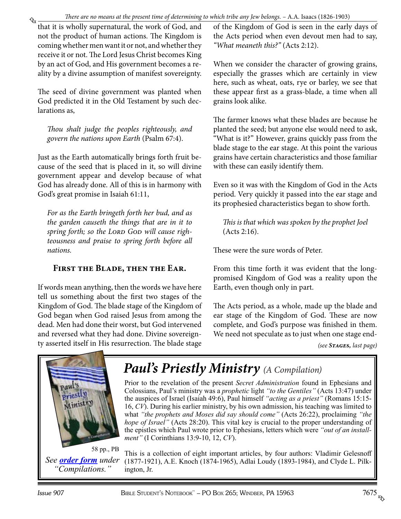<span id="page-2-0"></span>that it is wholly supernatural, the work of God, and not the product of human actions. The Kingdom is coming whether men want it or not, and whether they receive it or not. The Lord Jesus Christ becomes King by an act of God, and His government becomes a reality by a divine assumption of manifest sovereignty.

The seed of divine government was planted when God predicted it in the Old Testament by such declarations as,

*Thou shalt judge the peoples righteously, and govern the nations upon Earth* (Psalm 67:4).

Just as the Earth automatically brings forth fruit because of the seed that is placed in it, so will divine government appear and develop because of what God has already done. All of this is in harmony with God's great promise in Isaiah 61:11,

*For as the Earth bringeth forth her bud, and as the garden causeth the things that are in it to*  spring forth; so the LORD GOD will cause righ*teousness and praise to spring forth before all nations.*

### **First the Blade, then the Ear.**

If words mean anything, then the words we have here tell us something about the first two stages of the Kingdom of God. The blade stage of the Kingdom of God began when God raised Jesus from among the dead. Men had done their worst, but God intervened and reversed what they had done. Divine sovereignty asserted itself in His resurrection. The blade stage

of the Kingdom of God is seen in the early days of the Acts period when even devout men had to say, *"What meaneth this?"* (Acts 2:12).

When we consider the character of growing grains, especially the grasses which are certainly in view here, such as wheat, oats, rye or barley, we see that these appear first as a grass-blade, a time when all grains look alike.

The farmer knows what these blades are because he planted the seed; but anyone else would need to ask, "What is it?" However, grains quickly pass from the blade stage to the ear stage. At this point the various grains have certain characteristics and those familiar with these can easily identify them.

Even so it was with the Kingdom of God in the Acts period. Very quickly it passed into the ear stage and its prophesied characteristics began to show forth.

*This is that which was spoken by the prophet Joel*  (Acts 2:16).

These were the sure words of Peter.

From this time forth it was evident that the longpromised Kingdom of God was a reality upon the Earth, even though only in part.

The Acts period, as a whole, made up the blade and ear stage of the Kingdom of God. These are now complete, and God's purpose was finished in them. We need not speculate as to just when one stage end-

*(see Stages, [last page\)](#page-7-0)*



58 pp., PB *See [order form](http://studyshelf.com/orderform-studyshelf.pdf) under "Compilations."*

# *[Paul's Priestly Ministry](http://www.studyshelf.com/compilations.htm#7003) (A Compilation)*

Prior to the revelation of the present *Secret Administration* found in Ephesians and Colossians, Paul's ministry was a *prophetic* light *"to the Gentiles"* (Acts 13:47) under the auspices of Israel (Isaiah 49:6), Paul himself *"acting as a priest"* (Romans 15:15- 16, *CV*). During his earlier ministry, by his own admission, his teaching was limited to what *"the prophets and Moses did say should come"* (Acts 26:22), proclaiming *"the hope of Israel"* (Acts 28:20). This vital key is crucial to the proper understanding of the epistles which Paul wrote prior to Ephesians, letters which were *"out of an installment"* (I Corinthians 13:9-10, 12, *CV*).

This is a collection of eight important articles, by four authors: Vladimir Gelesnoff (1877-1921), A.E. Knoch (1874-1965), Adlai Loudy (1893-1984), and Clyde L. Pilkington, Jr.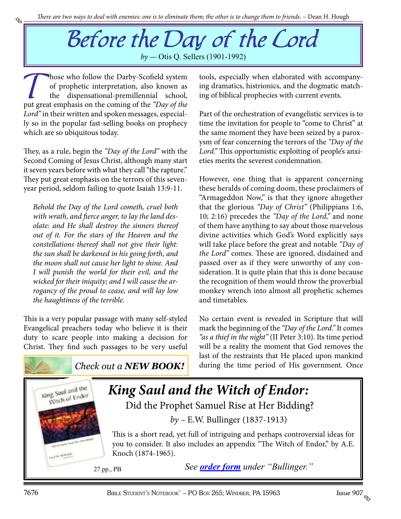# Before the Day of the Lord *by —* Otis Q. Sellers (1901-1992)

Those who follow the Darby-Scofield system<br>of prophetic interpretation, also known as<br>the dispensational-premillennial school,<br>put great emphasis on the coming of the "Day of the of prophetic interpretation, also known as the dispensational-premillennial school, put great emphasis on the coming of the *"Day of the Lord"* in their written and spoken messages, especially so in the popular fast-selling books on prophecy which are so ubiquitous today.

<span id="page-3-0"></span>₠

They, as a rule, begin the *"Day of the Lord"* with the Second Coming of Jesus Christ, although many start it seven years before with what they call "the rapture." They put great emphasis on the terrors of this sevenyear period, seldom failing to quote Isaiah 13:9-11.

*Behold the Day of the Lord cometh, cruel both with wrath, and fierce anger, to lay the land desolate: and He shall destroy the sinners thereof out of it. For the stars of the Heaven and the constellations thereof shall not give their light: the sun shall be darkened in his going forth, and the moon shall not cause her light to shine. And I will punish the world for their evil, and the wicked for their iniquity; and I will cause the arrogancy of the proud to cease, and will lay low the haughtiness of the terrible.*

This is a very popular passage with many self-styled Evangelical preachers today who believe it is their duty to scare people into making a decision for Christ. They find such passages to be very useful

tools, especially when elaborated with accompanying dramatics, histrionics, and the dogmatic matching of biblical prophecies with current events.

Part of the orchestration of evangelistic services is to time the invitation for people to "come to Christ" at the same moment they have been seized by a paroxysm of fear concerning the terrors of the *"Day of the Lord."* This opportunistic exploiting of people's anxieties merits the severest condemnation.

However, one thing that is apparent concerning these heralds of coming doom, these proclaimers of "Armageddon Now," is that they ignore altogether that the glorious *"Day of Christ"* (Philippians 1:6, 10; 2:16) precedes the *"Day of the Lord,"* and none of them have anything to say about those marvelous divine activities which God's Word explicitly says will take place before the great and notable *"Day of the Lord"* comes. These are ignored, disdained and passed over as if they were unworthy of any consideration. It is quite plain that this is done because the recognition of them would throw the proverbial monkey wrench into almost all prophetic schemes and timetables.

No certain event is revealed in Scripture that will mark the beginning of the *"Day of the Lord."* It comes *"as a thief in the night"* (II Peter 3:10). Its time period will be a reality the moment that God removes the last of the restraints that He placed upon mankind

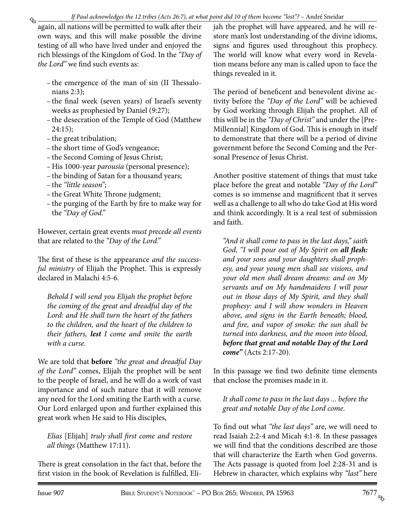<span id="page-4-0"></span>⇧ again, all nations will be permitted to walk after their own ways, and this will make possible the divine testing of all who have lived under and enjoyed the rich blessings of the Kingdom of God. In the *"Day of the Lord"* we find such events as:

- the emergence of the man of sin (II Thessalonians 2:3);
- the final week (seven years) of Israel's seventy weeks as prophesied by Daniel (9:27);
- the desecration of the Temple of God (Matthew 24:15);
- the great tribulation;
- the short time of God's vengeance;
- the Second Coming of Jesus Christ;
- His 1000-year *parousia* (personal presence);
- the binding of Satan for a thousand years;
- the *"little season"*;
- the Great White Throne judgment;
- the purging of the Earth by fire to make way for the *"Day of God."*

However, certain great events *must precede all events*  that are related to the *"Day of the Lord."*

The first of these is the appearance *and the successful ministry* of Elijah the Prophet. This is expressly declared in Malachi 4:5-6.

*Behold I will send you Elijah the prophet before the coming of the great and dreadful day of the Lord: and He shall turn the heart of the fathers to the children, and the heart of the children to their fathers, lest I come and smite the earth with a curse.*

We are told that **before** *"the great and dreadful Day of the Lord"* comes, Elijah the prophet will be sent to the people of Israel, and he will do a work of vast importance and of such nature that it will remove any need for the Lord smiting the Earth with a curse. Our Lord enlarged upon and further explained this great work when He said to His disciples,

*Elias* [Elijah] *truly shall first come and restore all things* (Matthew 17:11).

There is great consolation in the fact that, before the first vision in the book of Revelation is fulfilled, Elijah the prophet will have appeared, and he will restore man's lost understanding of the divine idioms, signs and figures used throughout this prophecy. The world will know what every word in Revelation means before any man is called upon to face the things revealed in it.

The period of beneficent and benevolent divine activity before the *"Day of the Lord"* will be achieved by God working through Elijah the prophet. All of this will be in the *"Day of Christ"* and under the [Pre-Millennial] Kingdom of God. This is enough in itself to demonstrate that there will be a period of divine government before the Second Coming and the Personal Presence of Jesus Christ.

Another positive statement of things that must take place before the great and notable *"Day of the Lord"* comes is so immense and magnificent that it serves well as a challenge to all who do take God at His word and think accordingly. It is a real test of submission and faith.

*"And it shall come to pass in the last days," saith God, "I will pour out of My Spirit on all flesh: and your sons and your daughters shall prophesy, and your young men shall see visions, and your old men shall dream dreams: and on My servants and on My handmaidens I will pour out in those days of My Spirit, and they shall prophesy: and I will show wonders in Heaven above, and signs in the Earth beneath; blood, and fire, and vapor of smoke: the sun shall be turned into darkness, and the moon into blood, before that great and notable Day of the Lord come"* (Acts 2:17-20).

In this passage we find two definite time elements that enclose the promises made in it.

#### *It shall come to pass in the last days ... before the great and notable Day of the Lord come.*

To find out what *"the last days"* are, we will need to read Isaiah 2:2-4 and Micah 4:1-8. In these passages we will find that the conditions described are those that will characterize the Earth when God governs. The Acts passage is quoted from Joel 2:28-31 and is Hebrew in character, which explains why *"last"* here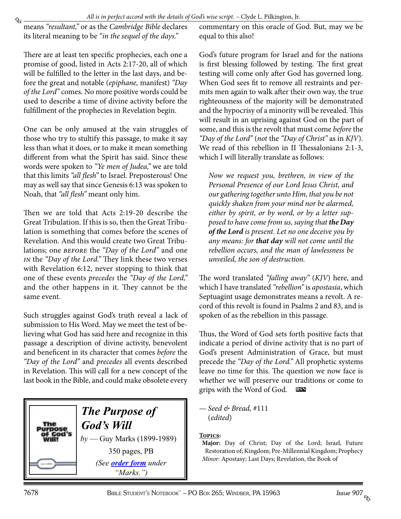*All is in perfect accord with the details of God's wise script.* – Clyde L. Pilkington, Jr.

<span id="page-5-0"></span>means *"resultant,"* or as the *Cambridge Bible* declares its literal meaning to be *"in the sequel of the days."*

There are at least ten specific prophecies, each one a promise of good, listed in Acts 2:17-20, all of which will be fulfilled to the letter in the last days, and before the great and notable (*epiphane,* manifest) *"Day of the Lord"* comes. No more positive words could be used to describe a time of divine activity before the fulfillment of the prophecies in Revelation begin.

One can be only amused at the vain struggles of those who try to stultify this passage, to make it say less than what it does, or to make it mean something different from what the Spirit has said. Since these words were spoken to *"Ye men of Judea,"* we are told that this limits *"all flesh"* to Israel. Preposterous! One may as well say that since Genesis 6:13 was spoken to Noah, that *"all flesh"* meant only him.

Then we are told that Acts 2:19-20 describe the Great Tribulation. If this is so, then the Great Tribulation is something that comes before the scenes of Revelation. And this would create two Great Tribulations; one *before* the *"Day of the Lord"* and one *in* the *"Day of the Lord."* They link these two verses with Revelation 6:12, never stopping to think that one of these events *precedes* the *"Day of the Lord,"* and the other happens in it. They cannot be the same event.

Such struggles against God's truth reveal a lack of submission to His Word. May we meet the test of believing what God has said here and recognize in this passage a description of divine activity, benevolent and beneficent in its character that comes *before* the *"Day of the Lord"* and *precedes* all events described in Revelation. This will call for a new concept of the last book in the Bible, and could make obsolete every



commentary on this oracle of God. But, may we be equal to this also!

God's future program for Israel and for the nations is first blessing followed by testing. The first great testing will come only after God has governed long. When God sees fit to remove all restraints and permits men again to walk after their own way, the true righteousness of the majority will be demonstrated and the hypocrisy of a minority will be revealed. This will result in an uprising against God on the part of some, and this is the revolt that must come *before* the *"Day of the Lord"* (*not* the *"Day of Christ"* as in *KJV*). We read of this rebellion in II Thessalonians 2:1-3, which I will literally translate as follows:

*Now we request you, brethren, in view of the Personal Presence of our Lord Jesus Christ, and our gathering together unto Him, that you be not quickly shaken from your mind nor be alarmed, either by spirit, or by word, or by a letter supposed to have come from us, saying that the Day of the Lord is present. Let no one deceive you by any means: for that day will not come until the rebellion occurs, and the man of lawlessness be unveiled, the son of destruction.*

The word translated *"falling away"* (*KJV*) here, and which I have translated *"rebellion"* is *apostasia*, which Septuagint usage demonstrates means a revolt. A record of this revolt is found in Psalms 2 and 83, and is spoken of as the rebellion in this passage.

Thus, the Word of God sets forth positive facts that indicate a period of divine activity that is no part of God's present Administration of Grace, but must precede the *"Day of the Lord."* All prophetic systems leave no time for this. The question we now face is whether we will preserve our traditions or come to grips with the Word of God. **bsn**

— *Seed & Bread,* #111 (*edited*)

**Topics:**

**Major:** Day of Christ; Day of the Lord; Israel, Future Restoration of; Kingdom; Pre-Millennial Kingdom; Prophecy *Minor:* Apostasy; Last Days; Revelation, the Book of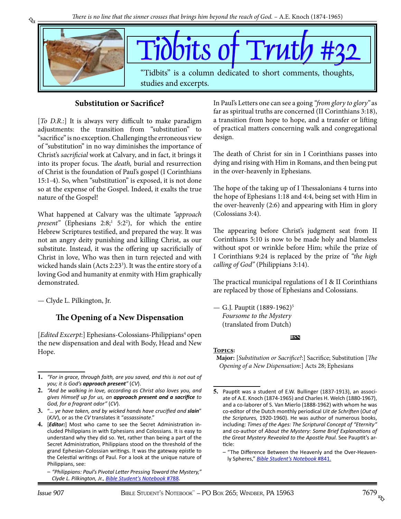<span id="page-6-0"></span>

#### **Substitution or Sacrifice?**

[*To D.R*.:] It is always very difficult to make paradigm adjustments: the transition from "substitution" to "sacrifice" is no exception. Challenging the erroneous view of "substitution" in no way diminishes the importance of Christ's *sacrificial* work at Calvary, and in fact, it brings it into its proper focus. The *death,* burial and resurrection of Christ is the foundation of Paul's gospel (I Corinthians 15:1-4). So, when "substitution" is exposed, it is not done so at the expense of the Gospel. Indeed, it exalts the true nature of the Gospel!

What happened at Calvary was the ultimate *"approach*  present" (Ephesians 2:8;<sup>1</sup> 5:2<sup>2</sup>), for which the entire Hebrew Scriptures testified, and prepared the way. It was not an angry deity punishing and killing Christ, as our substitute. Instead, it was the offering up sacrificially of Christ in love, Who was then in turn rejected and with wicked hands slain (Acts 2:23<sup>3</sup>). It was the entire story of a loving God and humanity at enmity with Him graphically demonstrated.

— Clyde L. Pilkington, Jr.

#### **The Opening of a New Dispensation**

[Edited Excerpt:] Ephesians-Colossians-Philippians<sup>4</sup> open the new dispensation and deal with Body, Head and New Hope.

In Paul's Letters one can see a going *"from glory to glory"* as far as spiritual truths are concerned (II Corinthians 3:18), a transition from hope to hope, and a transfer or lifting of practical matters concerning walk and congregational design.

The death of Christ for sin in I Corinthians passes into dying and rising with Him in Romans, and then being put in the over-heavenly in Ephesians.

The hope of the taking up of I Thessalonians 4 turns into the hope of Ephesians 1:18 and 4:4, being set with Him in the over-heavenly (2:6) and appearing with Him in glory (Colossians 3:4).

The appearing before Christ's judgment seat from II Corinthians 5:10 is now to be made holy and blameless without spot or wrinkle before Him; while the prize of I Corinthians 9:24 is replaced by the prize of *"the high calling of God"* (Philippians 3:14).

The practical municipal regulations of I & II Corinthians are replaced by those of Ephesians and Colossians.

— G.J. Pauptit  $(1889-1962)^5$ *Foursome to the Mystery* (translated from Dutch)

#### **bsn**

#### **Topics:**

**Major:** [*Substitution or Sacrifice?*:] Sacrifice; Substitution [*The Opening of a New Dispensation*:] Acts 28; Ephesians

**<sup>1.</sup>** *"For in grace, through faith, are you saved, and this is not out of you; it is God's approach present"* (*CV*).

**<sup>2.</sup>** *"And be walking in love, according as Christ also loves you, and gives Himself up for us, an approach present and a sacrifice to God, for a fragrant odor"* (*CV*).

**<sup>3.</sup>** "*… ye have taken, and by wicked hands have crucified and slain*" (*KJV*), or as the *CV* translates it "*assassinate*."

**<sup>4.</sup>** [*Editor:*] Most who came to see the Secret Administration included Philippians in with Ephesians and Colossians. It is easy to understand why they did so. Yet, rather than being a part of the Secret Administration, Philippians stood on the threshold of the grand Ephesian-Colossian writings. It was the gateway epistle to the Celestial writings of Paul. For a look at the unique nature of Philippians, see:

*<sup>–</sup> "Philippians: Paul's Pivotal Letter Pressing Toward the Mystery," Clyde L. Pilkington, Jr., [Bible Student's Notebook](http://www.biblestudentsnotebook.com/bsn788.pdf)* #788.

**<sup>5.</sup>** Pauptit was a student of E.W. Bullinger (1837-1913), an associate of A.E. Knoch (1874-1965) and Charles H. Welch (1880-1967), and a co-laborer of S. Van Mierlo (1888-1962) with whom he was co-editor of the Dutch monthly periodical *Uit de Schriften* (*Out of the Scriptures,* 1920-1960). He was author of numerous books, including: *Times of the Ages: The Scriptural Concept of "Eternity"* and co-author of *About the Mystery: Some Brief Explanations of the Great Mystery Revealed to the Apostle Paul.* See Pauptit's article:

*<sup>–</sup>* "The Difference Between the Heavenly and the Over-Heavenly Spheres," *[Bible Student's Notebook](http://www.biblestudentsnotebook.com/bsn841.pdf)* #841.